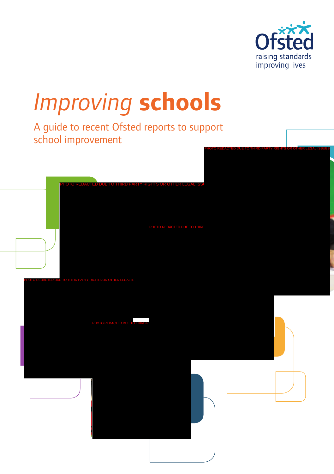

# *Improving* **schools**

A guide to recent Ofsted reports to support school improvement

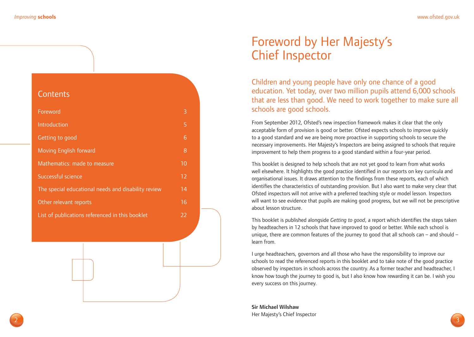#### **Contents**

| Foreword                                            | 3  |
|-----------------------------------------------------|----|
| Introduction                                        | 5  |
| Getting to good                                     | 6  |
| <b>Moving English forward</b>                       | 8  |
| Mathematics: made to measure                        | 10 |
| Successful science                                  | 12 |
| The special educational needs and disability review | 14 |
| Other relevant reports                              | 16 |
| List of publications referenced in this booklet     | 22 |
|                                                     |    |

### Foreword by Her Majesty's Chief Inspector

Children and young people have only one chance of a good education. Yet today, over two million pupils attend 6,000 schools that are less than good. We need to work together to make sure all schools are good schools.

From September 2012, Ofsted's new inspection framework makes it clear that the only acceptable form of provision is good or better. Ofsted expects schools to improve quickly to a good standard and we are being more proactive in supporting schools to secure the necessary improvements. Her Majesty's Inspectors are being assigned to schools that require improvement to help them progress to a good standard within a four-year period.

This booklet is designed to help schools that are not yet good to learn from what works well elsewhere. It highlights the good practice identified in our reports on key curricula and organisational issues. It draws attention to the findings from these reports, each of which identifies the characteristics of outstanding provision. But I also want to make very clear that Ofsted inspectors will not arrive with a preferred teaching style or model lesson. Inspectors will want to see evidence that pupils are making good progress, but we will not be prescriptive about lesson structure.

This booklet is published alongside *Getting to good*, a report which identifies the steps taken by headteachers in 12 schools that have improved to good or better. While each school is unique, there are common features of the journey to good that all schools can – and should – learn from.

I urge headteachers, governors and all those who have the responsibility to improve our schools to read the referenced reports in this booklet and to take note of the good practice observed by inspectors in schools across the country. As a former teacher and headteacher, I know how tough the journey to good is, but I also know how rewarding it can be. I wish you every success on this journey.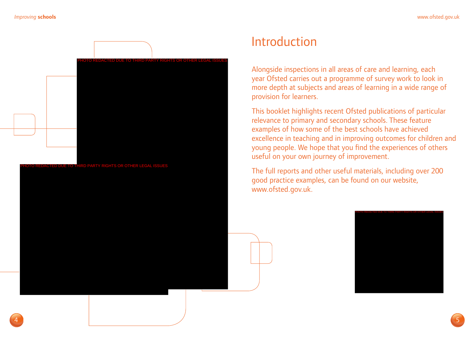

### Introduction

Alongside inspections in all areas of care and learning, each year Ofsted carries out a programme of survey work to look in more depth at subjects and areas of learning in a wide range of provision for learners.

This booklet highlights recent Ofsted publications of particular relevance to primary and secondary schools. These feature examples of how some of the best schools have achieved excellence in teaching and in improving outcomes for children and young people. We hope that you find the experiences of others useful on your own journey of improvement.

The full reports and other useful materials, including over 200 good practice examples, can be found on our website, www.ofsted.gov.uk.

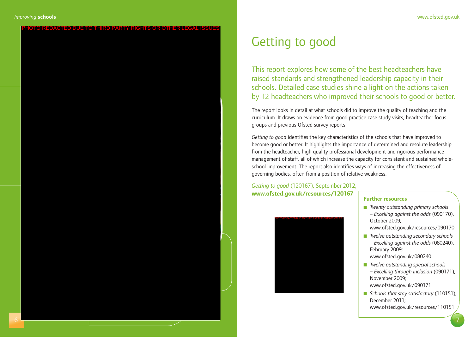### Getting to good

This report explores how some of the best headteachers have raised standards and strengthened leadership capacity in their schools. Detailed case studies shine a light on the actions taken by 12 headteachers who improved their schools to good or better.

The report looks in detail at what schools did to improve the quality of teaching and the curriculum. It draws on evidence from good practice case study visits, headteacher focus groups and previous Ofsted survey reports.

*Getting to good* identifies the key characteristics of the schools that have improved to become good or better. It highlights the importance of determined and resolute leadership from the headteacher, high quality professional development and rigorous performance management of staff, all of which increase the capacity for consistent and sustained wholeschool improvement. The report also identifies ways of increasing the effectiveness of governing bodies, often from a position of relative weakness.

*Getting to good* (120167), September 2012; **www.ofsted.gov.uk/resources/120167 Further resources**



- *Twenty outstanding primary schools – Excelling against the odds* (090170), October 2009;
- www.ofsted.gov.uk/resources/090170
- n *Twelve outstanding secondary schools – Excelling against the odds* (080240), February 2009; www.ofsted.gov.uk/080240
- *Twelve outstanding special schools – Excelling through inclusion* (090171), November 2009; www.ofsted.gov.uk/090171
- *Schools that stay satisfactory* (110151), December 2011; www.ofsted.gov.uk/resources/110151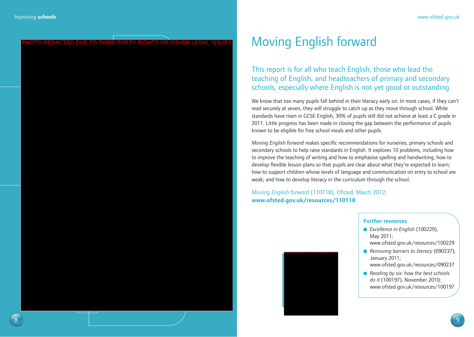## Moving English forward

This report is for all who teach English, those who lead the teaching of English, and headteachers of primary and secondary schools, especially where English is not yet good or outstanding.

We know that too many pupils fall behind in their literacy early on. In most cases, if they can't read securely at seven, they will struggle to catch up as they move through school. While standards have risen in GCSE English, 30% of pupils still did not achieve at least a C grade in 2011. Little progress has been made in closing the gap between the performance of pupils known to be eligible for free school meals and other pupils.

*Moving English forward* makes specific recommendations for nurseries, primary schools and secondary schools to help raise standards in English. It explores 10 problems, including how to improve the teaching of writing and how to emphasise spelling and handwriting; how to develop flexible lesson plans so that pupils are clear about what they're expected to learn; how to support children whose levels of language and communication on entry to school are weak; and how to develop literacy in the curriculum through the school.

*Moving English forward* (110118)*,* Ofsted, March 2012; **www.ofsted.gov.uk/resources/110118**

#### **Further resources**

- *Excellence in English* (100229), May 2011; www.ofsted.gov.uk/resources/100229
- *Removing barriers to literacy (090237)*, January 2011; www.ofsted.gov.uk/resources/090237 PHOTO REDACTED DUE TO THIRD PARTY RIGHTS ORDER LEGAL ISSUES
	- *Reading by six: how the best schools do it* (100197), November 2010; www.ofsted.gov.uk/resources/100197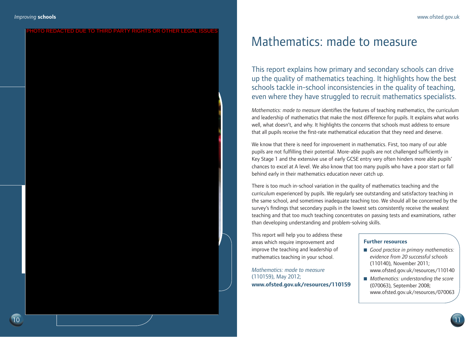#### **EDACTED DUE TO THIRD PARTY RIGHTS OR OTHER LEG**

### Mathematics: made to measure

This report explains how primary and secondary schools can drive up the quality of mathematics teaching. It highlights how the best schools tackle in-school inconsistencies in the quality of teaching, even where they have struggled to recruit mathematics specialists.

*Mathematics: made to measure* identifies the features of teaching mathematics, the curriculum and leadership of mathematics that make the most difference for pupils. It explains what works well, what doesn't, and why. It highlights the concerns that schools must address to ensure that all pupils receive the first-rate mathematical education that they need and deserve.

We know that there is need for improvement in mathematics. First, too many of our able pupils are not fulfilling their potential. More-able pupils are not challenged sufficiently in Key Stage 1 and the extensive use of early GCSE entry very often hinders more able pupils' chances to excel at A level. We also know that too many pupils who have a poor start or fall behind early in their mathematics education never catch up.

There is too much in-school variation in the quality of mathematics teaching and the curriculum experienced by pupils. We regularly see outstanding and satisfactory teaching in the same school, and sometimes inadequate teaching too. We should all be concerned by the survey's findings that secondary pupils in the lowest sets consistently receive the weakest teaching and that too much teaching concentrates on passing tests and examinations, rather than developing understanding and problem-solving skills.

This report will help you to address these areas which require improvement and improve the teaching and leadership of mathematics teaching in your school.

*Mathematics: made to measure* (110159), May 2012; **www.ofsted.gov.uk/resources/110159**

#### **Further resources**

- *Good practice in primary mathematics: evidence from 20 successful schools*  (110140), November 2011; www.ofsted.gov.uk/resources/110140
- *Mathematics: understanding the score* (070063), September 2008; www.ofsted.gov.uk/resources/070063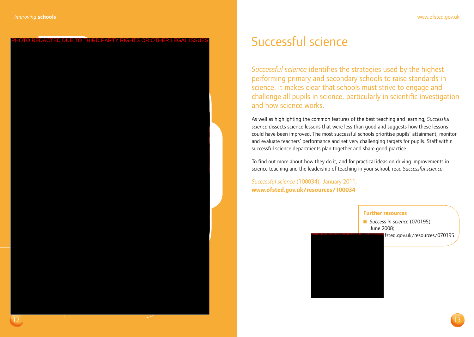### Successful science

*Successful science* identifies the strategies used by the highest performing primary and secondary schools to raise standards in science. It makes clear that schools must strive to engage and challenge all pupils in science, particularly in scientific investigation and how science works.

As well as highlighting the common features of the best teaching and learning, *Successful science* dissects science lessons that were less than good and suggests how these lessons could have been improved. The most successful schools prioritise pupils' attainment, monitor and evaluate teachers' performance and set very challenging targets for pupils. Staff within successful science departments plan together and share good practice.

To find out more about how they do it, and for practical ideas on driving improvements in science teaching and the leadership of teaching in your school, read *Successful science*.

*Successful science* (100034), January 2011; **www.ofsted.gov.uk/resources/100034**

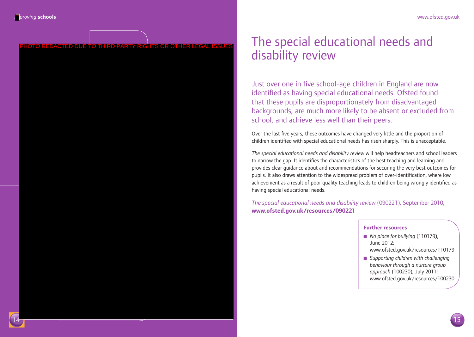### The special educational needs and disability review

Just over one in five school-age children in England are now identified as having special educational needs. Ofsted found that these pupils are disproportionately from disadvantaged backgrounds, are much more likely to be absent or excluded from school, and achieve less well than their peers.

Over the last five years, these outcomes have changed very little and the proportion of children identified with special educational needs has risen sharply. This is unacceptable.

*The special educational needs and disability review* will help headteachers and school leaders to narrow the gap. It identifies the characteristics of the best teaching and learning and provides clear guidance about and recommendations for securing the very best outcomes for pupils. It also draws attention to the widespread problem of over-identification, where low achievement as a result of poor quality teaching leads to children being wrongly identified as having special educational needs.

*The special educational needs and disability review* (090221), September 2010; **www.ofsted.gov.uk/resources/090221**

#### **Further resources**

- *No place for bullying* (110179), June 2012; www.ofsted.gov.uk/resources/110179
- *Supporting children with challenging behaviour through a nurture group approach* (100230), July 2011; www.ofsted.gov.uk/resources/100230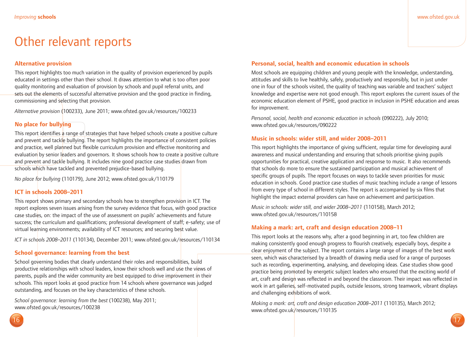### Other relevant reports

#### **Alternative provision**

This report highlights too much variation in the quality of provision experienced by pupils educated in settings other than their school. It draws attention to what is too often poor quality monitoring and evaluation of provision by schools and pupil referral units, and sets out the elements of successful alternative provision and the good practice in finding, commissioning and selecting that provision.

*Alternative provision* (100233), June 2011; www.ofsted.gov.uk/resources/100233

#### **No place for bullying**

This report identifies a range of strategies that have helped schools create a positive culture and prevent and tackle bullying. The report highlights the importance of consistent policies and practice, well planned but flexible curriculum provision and effective monitoring and evaluation by senior leaders and governors. It shows schools how to create a positive culture and prevent and tackle bullying. It includes nine good practice case studies drawn from schools which have tackled and prevented prejudice-based bullying.

*No place for bullying* (110179), June 2012; www.ofsted.gov.uk/110179

#### **ICT in schools 2008–2011**

This report shows primary and secondary schools how to strengthen provision in ICT. The report explores seven issues arising from the survey evidence that focus, with good practice case studies, on: the impact of the use of assessment on pupils' achievements and future success; the curriculum and qualifications; professional development of staff; e-safety; use of virtual learning environments; availability of ICT resources; and securing best value.

*ICT in schools 2008–2011* (110134), December 2011; www.ofsted.gov.uk/resources/110134

#### **School governance: learning from the best**

School governing bodies that clearly understand their roles and responsibilities, build productive relationships with school leaders, know their schools well and use the views of parents, pupils and the wider community are best equipped to drive improvement in their schools. This report looks at good practice from 14 schools where governance was judged outstanding, and focuses on the key characteristics of these schools.

*School governance: learning from the best* (100238), May 2011; www.ofsted.gov.uk/resources/100238

#### **Personal, social, health and economic education in schools**

Most schools are equipping children and young people with the knowledge, understanding, attitudes and skills to live healthily, safely, productively and responsibly, but in just under one in four of the schools visited, the quality of teaching was variable and teachers' subject knowledge and expertise were not good enough. This report explores the current issues of the economic education element of PSHE, good practice in inclusion in PSHE education and areas for improvement.

*Personal, social, health and economic education in schools* (090222), July 2010; www.ofsted.gov.uk/resources/090222

#### **Music in schools: wider still, and wider 2008–2011**

This report highlights the importance of giving sufficient, regular time for developing aural awareness and musical understanding and ensuring that schools prioritise giving pupils opportunities for practical, creative application and response to music. It also recommends that schools do more to ensure the sustained participation and musical achievement of specific groups of pupils. The report focuses on ways to tackle seven priorities for music education in schools. Good practice case studies of music teaching include a range of lessons from every type of school in different styles. The report is accompanied by six films that highlight the impact external providers can have on achievement and participation.

*Music in schools: wider still, and wider 2008–2011* (110158), March 2012; www.ofsted.gov.uk/resources/110158

#### **Making a mark: art, craft and design education 2008–11**

This report looks at the reasons why, after a good beginning in art, too few children are making consistently good enough progress to flourish creatively, especially boys, despite a clear enjoyment of the subject. The report contains a large range of images of the best work seen, which was characterised by a breadth of drawing media used for a range of purposes such as recording, experimenting, analysing, and developing ideas. Case studies show good practice being promoted by energetic subject leaders who ensured that the exciting world of art, craft and design was reflected in and beyond the classroom. Their impact was reflected in work in art galleries, self-motivated pupils, outside lessons, strong teamwork, vibrant displays and challenging exhibitions of work.

*Making a mark: art, craft and design education 2008–2011* (110135), March 2012; www.ofsted.gov.uk/resources/110135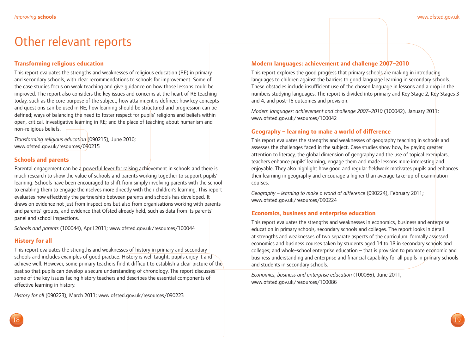### Other relevant reports

#### **Transforming religious education**

This report evaluates the strengths and weaknesses of religious education (RE) in primary and secondary schools, with clear recommendations to schools for improvement. Some of the case studies focus on weak teaching and give guidance on how those lessons could be improved. The report also considers the key issues and concerns at the heart of RE teaching today, such as the core purpose of the subject; how attainment is defined; how key concepts and questions can be used in RE; how learning should be structured and progression can be defined; ways of balancing the need to foster respect for pupils' religions and beliefs within open, critical, investigative learning in RE; and the place of teaching about humanism and non-religious beliefs.

*Transforming religious education* (090215), June 2010; www.ofsted.gov.uk/resources/090215

#### **Schools and parents**

Parental engagement can be a powerful lever for raising achievement in schools and there is much research to show the value of schools and parents working together to support pupils' learning. Schools have been encouraged to shift from simply involving parents with the school to enabling them to engage themselves more directly with their children's learning. This report evaluates how effectively the partnership between parents and schools has developed. It draws on evidence not just from inspections but also from organisations working with parents and parents' groups, and evidence that Ofsted already held, such as data from its parents' panel and school inspections.

*Schools and parents* (100044), April 2011; www.ofsted.gov.uk/resources/100044

#### **History for all**

This report evaluates the strengths and weaknesses of history in primary and secondary schools and includes examples of good practice. History is well taught, pupils enjoy it and achieve well. However, some primary teachers find it difficult to establish a clear picture of the past so that pupils can develop a secure understanding of chronology. The report discusses some of the key issues facing history teachers and describes the essential components of effective learning in history.

*History for all* (090223), March 2011; www.ofsted.gov.uk/resources/090223

#### **Modern languages: achievement and challenge 2007–2010**

This report explores the good progress that primary schools are making in introducing languages to children against the barriers to good language learning in secondary schools. These obstacles include insufficient use of the chosen language in lessons and a drop in the numbers studying languages. The report is divided into primary and Key Stage 2, Key Stages 3 and 4, and post-16 outcomes and provision.

*Modern languages: achievement and challenge 2007–2010* (100042), January 2011; www.ofsted.gov.uk/resources/100042

#### **Geography – learning to make a world of difference**

This report evaluates the strengths and weaknesses of geography teaching in schools and assesses the challenges faced in the subject. Case studies show how, by paying greater attention to literacy, the global dimension of geography and the use of topical exemplars, teachers enhance pupils' learning, engage them and made lessons more interesting and enjoyable. They also highlight how good and regular fieldwork motivates pupils and enhances their learning in geography and encourage a higher than average take-up of examination courses.

*Geography – learning to make a world of difference* (090224), February 2011; www.ofsted.gov.uk/resources/090224

#### **Economics, business and enterprise education**

This report evaluates the strengths and weaknesses in economics, business and enterprise education in primary schools, secondary schools and colleges. The report looks in detail at strengths and weaknesses of two separate aspects of the curriculum: formally assessed economics and business courses taken by students aged 14 to 18 in secondary schools and colleges; and whole-school enterprise education – that is provision to promote economic and business understanding and enterprise and financial capability for all pupils in primary schools and students in secondary schools.

*Economics, business and enterprise education* (100086), June 2011; www.ofsted.gov.uk/resources/100086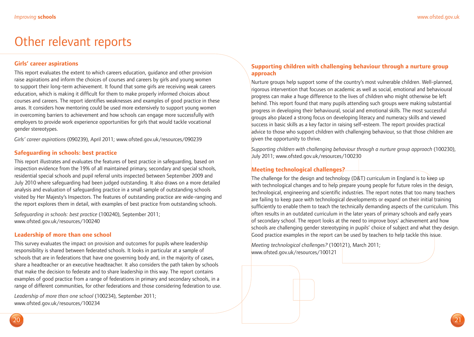### Other relevant reports

#### **Girls' career aspirations**

This report evaluates the extent to which careers education, guidance and other provision raise aspirations and inform the choices of courses and careers by girls and young women to support their long-term achievement. It found that some girls are receiving weak careers education, which is making it difficult for them to make properly informed choices about courses and careers. The report identifies weaknesses and examples of good practice in these areas. It considers how mentoring could be used more extensively to support young women in overcoming barriers to achievement and how schools can engage more successfully with employers to provide work experience opportunities for girls that would tackle vocational gender stereotypes.

*Girls' career aspirations* (090239), April 2011; www.ofsted.gov.uk/resources/090239

#### **Safeguarding in schools: best practice**

This report illustrates and evaluates the features of best practice in safeguarding, based on inspection evidence from the 19% of all maintained primary, secondary and special schools, residential special schools and pupil referral units inspected between September 2009 and July 2010 where safeguarding had been judged outstanding. It also draws on a more detailed analysis and evaluation of safeguarding practice in a small sample of outstanding schools visited by Her Majesty's Inspectors. The features of outstanding practice are wide-ranging and the report explores them in detail, with examples of best practice from outstanding schools.

*Safeguarding in schools: best practice* (100240), September 2011; www.ofsted.gov.uk/resources/100240

#### **Leadership of more than one school**

This survey evaluates the impact on provision and outcomes for pupils where leadership responsibility is shared between federated schools. It looks in particular at a sample of schools that are in federations that have one governing body and, in the majority of cases, share a headteacher or an executive headteacher. It also considers the path taken by schools that make the decision to federate and to share leadership in this way. The report contains examples of good practice from a range of federations in primary and secondary schools, in a range of different communities, for other federations and those considering federation to use.

*Leadership of more than one school* (100234), September 2011; www.ofsted.gov.uk/resources/100234

#### **Supporting children with challenging behaviour through a nurture group approach**

Nurture groups help support some of the country's most vulnerable children. Well-planned, rigorous intervention that focuses on academic as well as social, emotional and behavioural progress can make a huge difference to the lives of children who might otherwise be left behind. This report found that many pupils attending such groups were making substantial progress in developing their behavioural, social and emotional skills. The most successful groups also placed a strong focus on developing literacy and numeracy skills and viewed success in basic skills as a key factor in raising self-esteem. The report provides practical advice to those who support children with challenging behaviour, so that those children are given the opportunity to thrive.

*Supporting children with challenging behaviour through a nurture group approach* (100230), July 2011; www.ofsted.gov.uk/resources/100230

#### **Meeting technological challenges?**

The challenge for the design and technology (D&T) curriculum in England is to keep up with technological changes and to help prepare young people for future roles in the design, technological, engineering and scientific industries. The report notes that too many teachers are failing to keep pace with technological developments or expand on their initial training sufficiently to enable them to teach the technically demanding aspects of the curriculum. This often results in an outdated curriculum in the later years of primary schools and early years of secondary school. The report looks at the need to improve boys' achievement and how schools are challenging gender stereotyping in pupils' choice of subject and what they design. Good practice examples in the report can be used by teachers to help tackle this issue.

*Meeting technological challenges?* (100121), March 2011; www.ofsted.gov.uk/resources/100121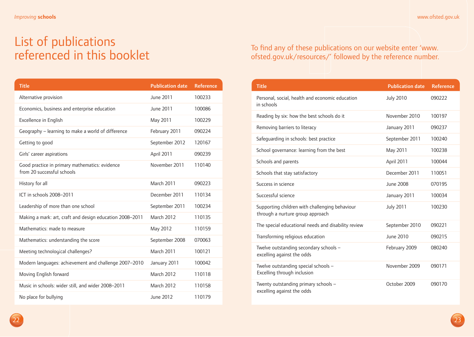### List of publications referenced in this booklet

| <b>Title</b>                                                                 | <b>Publication date</b> | <b>Reference</b> |
|------------------------------------------------------------------------------|-------------------------|------------------|
| Alternative provision                                                        | June 2011               | 100233           |
| Economics, business and enterprise education                                 | June 2011               | 100086           |
| Excellence in English                                                        | May 2011                | 100229           |
| Geography - learning to make a world of difference                           | February 2011           | 090224           |
| Getting to good                                                              | September 2012          | 120167           |
| Girls' career aspirations                                                    | April 2011              | 090239           |
| Good practice in primary mathematics: evidence<br>from 20 successful schools | November 2011           | 110140           |
| History for all                                                              | March 2011              | 090223           |
| ICT in schools 2008-2011                                                     | December 2011           | 110134           |
| Leadership of more than one school                                           | September 2011          | 100234           |
| Making a mark: art, craft and design education 2008-2011                     | <b>March 2012</b>       | 110135           |
| Mathematics: made to measure                                                 | May 2012                | 110159           |
| Mathematics: understanding the score                                         | September 2008          | 070063           |
| Meeting technological challenges?                                            | March 2011              | 100121           |
| Modern languages: achievement and challenge 2007-2010                        | January 2011            | 100042           |
| Moving English forward                                                       | <b>March 2012</b>       | 110118           |
| Music in schools: wider still, and wider 2008-2011                           | March 2012              | 110158           |
| No place for bullying                                                        | June 2012               | 110179           |

### To find any of these publications on our website enter 'www. ofsted.gov.uk/resources/' followed by the reference number.

| <b>Title</b>                                                                       | <b>Publication date</b> | <b>Reference</b> |
|------------------------------------------------------------------------------------|-------------------------|------------------|
| Personal, social, health and economic education<br>in schools                      | <b>July 2010</b>        | 090222           |
| Reading by six: how the best schools do it                                         | November 2010           | 100197           |
| Removing barriers to literacy                                                      | January 2011            | 090237           |
| Safequarding in schools: best practice                                             | September 2011          | 100240           |
| School governance: learning from the best                                          | May 2011                | 100238           |
| Schools and parents                                                                | April 2011              | 100044           |
| Schools that stay satisfactory                                                     | December 2011           | 110051           |
| Success in science                                                                 | June 2008               | 070195           |
| Successful science                                                                 | January 2011            | 100034           |
| Supporting children with challenging behaviour<br>through a nurture group approach | <b>July 2011</b>        | 100230           |
| The special educational needs and disability review                                | September 2010          | 090221           |
| Transforming religious education                                                   | June 2010               | 090215           |
| Twelve outstanding secondary schools -<br>excelling against the odds               | February 2009           | 080240           |
| Twelve outstanding special schools -<br>Excelling through inclusion                | November 2009           | 090171           |
| Twenty outstanding primary schools -<br>excelling against the odds                 | October 2009            | 090170           |